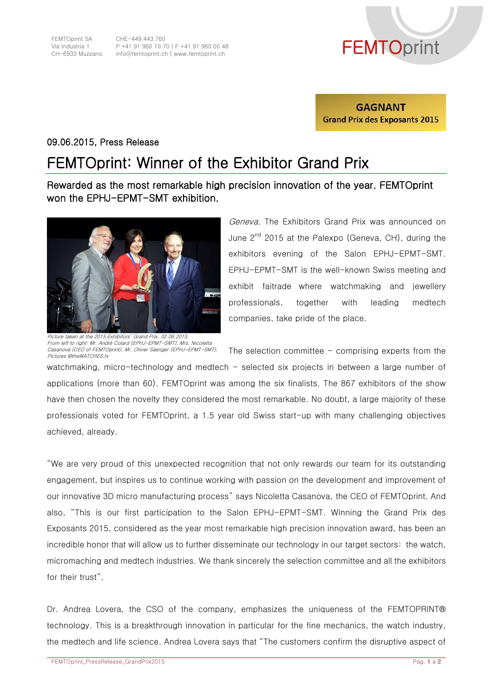CHE-449.443.760 P +41 91 960 10 70│F +41 91 960 00 48 P +41 91 960 10 70 | F +41 91 960 00 48<br>info@femtoprint.ch | www.femtoprint.ch<br>info@femtoprint.ch | www.femtoprint.ch



**GAGNANT Grand Prix des Exposants 2015** 

## 09.06.2015, Press Release

## FEMTOprint: Winner of the Exhibitor Grand Prix

Rewarded as the most remarkable high precision innovation of the year. FEMTOprint won the EPHJ-EPMT-SMT exhibition.



Picture taken at the 2015 Exhibitors' Grand Prix, 02.06.2015. From left to right: Mr. André Colard (EPHJ-EPMT-SMT), Mrs. Nicoletta Casanova (CEO of FEMTOprint), Mr. Olivier Saenger (EPHJ-EPMT-SMT). Geneva. The Exhibitors Grand Prix was announced on June 2<sup>nd</sup> 2015 at the Palexpo (Geneva, CH), during the exhibitors evening of the Salon EPHJ-EPMT-SMT. EPHJ-EPMT-SMT is the well-known Swiss meeting and exhibit faitrade where watchmaking and jewellery professionals, together with leading medtech companies, take pride of the place.

The selection committee  $-$  comprising experts from the

watchmaking, micro-technology and medtech - selected six projects in between a large number of applications (more than 60). FEMTOprint was among the six finalists. The 867 exhibitors of the show have then chosen the novelty they considered the most remarkable. No doubt, a large majority of these professionals voted for FEMTOprint, a 1.5 year old Swiss start-up with many challenging objectives achieved, already. Pictures ©theWATCHES.tv

"We are very proud of this unexpected recognition that not only rewards our team for its outstanding engagement, but inspires us to continue working with passion on the development and improvement of our innovative 3D micro manufacturing process" says Nicoletta Casanova, the CEO of FEMTOprint. And also, "This is our first participation to the Salon EPHJ-EPMT-SMT. Winning the Grand Prix des Exposants 2015, considered as the year most remarkable high precision innovation award, has been an incredible honor that will allow us to further disseminate our technology in our target sectors: the watch, micromaching and medtech industries. We thank sincerely the selection committee and all the exhibitors for their trust".

Dr. Andrea Lovera, the CSO of the company, emphasizes the uniqueness of the FEMTOPRINT® technology. This is a breakthrough innovation in particular for the fine mechanics, the watch industry, the medtech and life science. Andrea Lovera says that "The customers confirm the disruptive aspect of